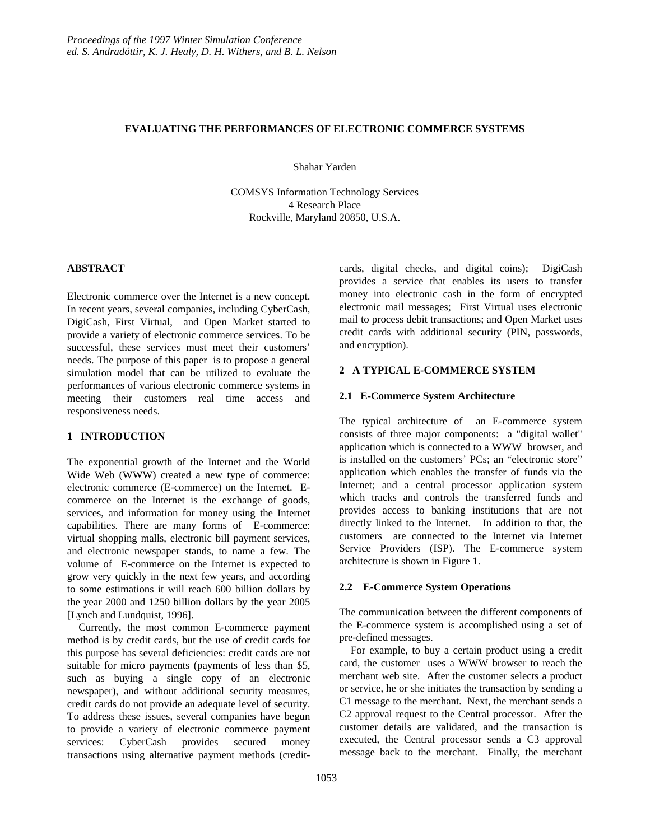## **EVALUATING THE PERFORMANCES OF ELECTRONIC COMMERCE SYSTEMS**

Shahar Yarden

COMSYS Information Technology Services 4 Research Place Rockville, Maryland 20850, U.S.A.

## **ABSTRACT**

Electronic commerce over the Internet is a new concept. In recent years, several companies, including CyberCash, DigiCash, First Virtual, and Open Market started to provide a variety of electronic commerce services. To be successful, these services must meet their customers' needs. The purpose of this paper is to propose a general simulation model that can be utilized to evaluate the performances of various electronic commerce systems in meeting their customers real time access and responsiveness needs.

# **1 INTRODUCTION**

The exponential growth of the Internet and the World Wide Web (WWW) created a new type of commerce: electronic commerce (E-commerce) on the Internet. Ecommerce on the Internet is the exchange of goods, services, and information for money using the Internet capabilities. There are many forms of E-commerce: virtual shopping malls, electronic bill payment services, and electronic newspaper stands, to name a few. The volume of E-commerce on the Internet is expected to grow very quickly in the next few years, and according to some estimations it will reach 600 billion dollars by the year 2000 and 1250 billion dollars by the year 2005 [Lynch and Lundquist, 1996].

Currently, the most common E-commerce payment method is by credit cards, but the use of credit cards for this purpose has several deficiencies: credit cards are not suitable for micro payments (payments of less than \$5, such as buying a single copy of an electronic newspaper), and without additional security measures, credit cards do not provide an adequate level of security. To address these issues, several companies have begun to provide a variety of electronic commerce payment services: CyberCash provides secured money transactions using alternative payment methods (creditcards, digital checks, and digital coins); DigiCash provides a service that enables its users to transfer money into electronic cash in the form of encrypted electronic mail messages; First Virtual uses electronic mail to process debit transactions; and Open Market uses credit cards with additional security (PIN, passwords, and encryption).

# **2 A TYPICAL E-COMMERCE SYSTEM**

## **2.1 E-Commerce System Architecture**

The typical architecture of an E-commerce system consists of three major components: a "digital wallet" application which is connected to a WWW browser, and is installed on the customers' PCs; an "electronic store" application which enables the transfer of funds via the Internet; and a central processor application system which tracks and controls the transferred funds and provides access to banking institutions that are not directly linked to the Internet. In addition to that, the customers are connected to the Internet via Internet Service Providers (ISP). The E-commerce system architecture is shown in Figure 1.

## **2.2 E-Commerce System Operations**

The communication between the different components of the E-commerce system is accomplished using a set of pre-defined messages.

For example, to buy a certain product using a credit card, the customer uses a WWW browser to reach the merchant web site. After the customer selects a product or service, he or she initiates the transaction by sending a C1 message to the merchant. Next, the merchant sends a C2 approval request to the Central processor. After the customer details are validated, and the transaction is executed, the Central processor sends a C3 approval message back to the merchant. Finally, the merchant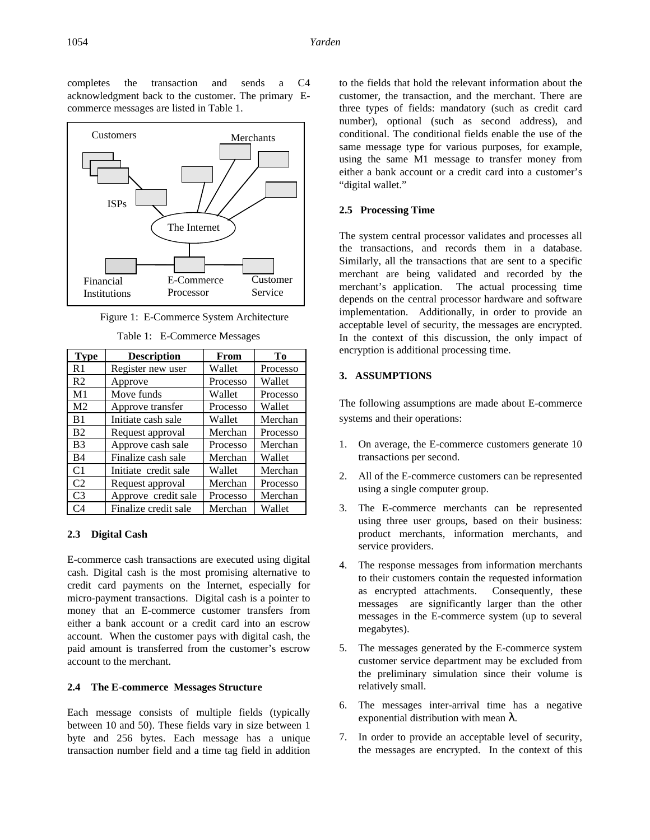completes the transaction and sends a C4 acknowledgment back to the customer. The primary Ecommerce messages are listed in Table 1.



Figure 1: E-Commerce System Architecture

| <b>Type</b>    | <b>Description</b>   | From     | Tо       |
|----------------|----------------------|----------|----------|
| R <sub>1</sub> | Register new user    | Wallet   | Processo |
| R <sub>2</sub> | Approve              | Processo | Wallet   |
| M1             | Move funds           | Wallet   | Processo |
| M <sub>2</sub> | Approve transfer     | Processo | Wallet   |
| B1             | Initiate cash sale   | Wallet   | Merchan  |
| B <sub>2</sub> | Request approval     | Merchan  | Processo |
| B <sub>3</sub> | Approve cash sale    | Processo | Merchan  |
| B <sub>4</sub> | Finalize cash sale   | Merchan  | Wallet   |
| C <sub>1</sub> | Initiate credit sale | Wallet   | Merchan  |
| C <sub>2</sub> | Request approval     | Merchan  | Processo |
| C <sub>3</sub> | Approve credit sale  | Processo | Merchan  |
| C4             | Finalize credit sale | Merchan  | Wallet   |

Table 1: E-Commerce Messages

## **2.3 Digital Cash**

E-commerce cash transactions are executed using digital cash. Digital cash is the most promising alternative to credit card payments on the Internet, especially for micro-payment transactions. Digital cash is a pointer to money that an E-commerce customer transfers from either a bank account or a credit card into an escrow account. When the customer pays with digital cash, the paid amount is transferred from the customer's escrow account to the merchant.

#### **2.4 The E-commerce Messages Structure**

Each message consists of multiple fields (typically between 10 and 50). These fields vary in size between 1 byte and 256 bytes. Each message has a unique transaction number field and a time tag field in addition to the fields that hold the relevant information about the customer, the transaction, and the merchant. There are three types of fields: mandatory (such as credit card number), optional (such as second address), and conditional. The conditional fields enable the use of the same message type for various purposes, for example, using the same M1 message to transfer money from either a bank account or a credit card into a customer's "digital wallet."

#### **2.5 Processing Time**

The system central processor validates and processes all the transactions, and records them in a database. Similarly, all the transactions that are sent to a specific merchant are being validated and recorded by the merchant's application. The actual processing time depends on the central processor hardware and software implementation. Additionally, in order to provide an acceptable level of security, the messages are encrypted. In the context of this discussion, the only impact of encryption is additional processing time.

# **3. ASSUMPTIONS**

The following assumptions are made about E-commerce systems and their operations:

- 1. On average, the E-commerce customers generate 10 transactions per second.
- 2. All of the E-commerce customers can be represented using a single computer group.
- 3. The E-commerce merchants can be represented using three user groups, based on their business: product merchants, information merchants, and service providers.
- 4. The response messages from information merchants to their customers contain the requested information as encrypted attachments. Consequently, these messages are significantly larger than the other messages in the E-commerce system (up to several megabytes).
- 5. The messages generated by the E-commerce system customer service department may be excluded from the preliminary simulation since their volume is relatively small.
- 6. The messages inter-arrival time has a negative exponential distribution with mean  $\lambda$ .
- 7. In order to provide an acceptable level of security, the messages are encrypted. In the context of this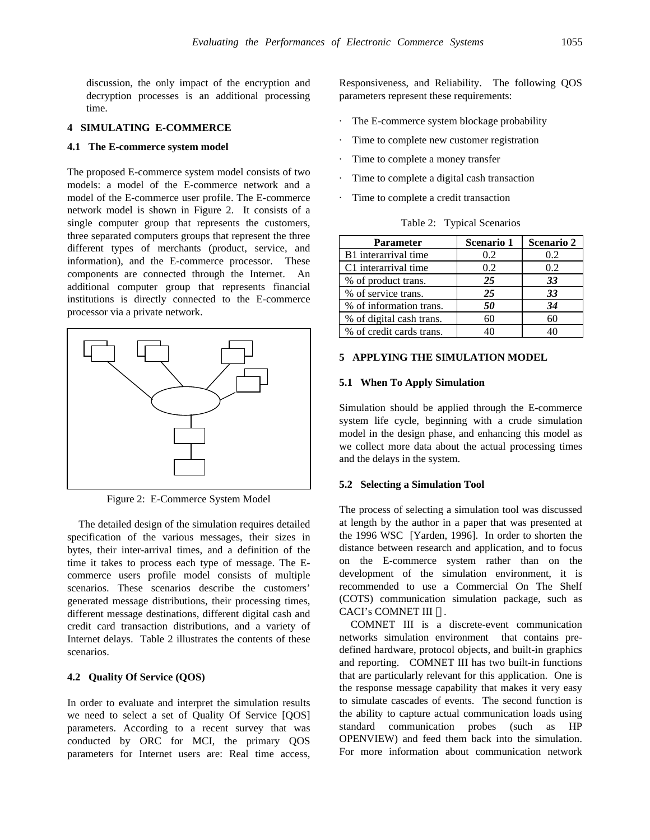discussion, the only impact of the encryption and decryption processes is an additional processing time.

# **4 SIMULATING E-COMMERCE**

### **4.1 The E-commerce system model**

The proposed E-commerce system model consists of two models: a model of the E-commerce network and a model of the E-commerce user profile. The E-commerce network model is shown in Figure 2. It consists of a single computer group that represents the customers, three separated computers groups that represent the three different types of merchants (product, service, and information), and the E-commerce processor. These components are connected through the Internet. An additional computer group that represents financial institutions is directly connected to the E-commerce processor via a private network.



Figure 2: E-Commerce System Model

The detailed design of the simulation requires detailed specification of the various messages, their sizes in bytes, their inter-arrival times, and a definition of the time it takes to process each type of message. The Ecommerce users profile model consists of multiple scenarios. These scenarios describe the customers' generated message distributions, their processing times, different message destinations, different digital cash and credit card transaction distributions, and a variety of Internet delays. Table 2 illustrates the contents of these scenarios.

## **4.2 Quality Of Service (QOS)**

In order to evaluate and interpret the simulation results we need to select a set of Quality Of Service [QOS] parameters. According to a recent survey that was conducted by ORC for MCI, the primary QOS parameters for Internet users are: Real time access, Responsiveness, and Reliability. The following QOS parameters represent these requirements:

- The E-commerce system blockage probability
- Time to complete new customer registration
- Time to complete a money transfer
- Time to complete a digital cash transaction
- Time to complete a credit transaction

Table 2: Typical Scenarios

| <b>Parameter</b>         | <b>Scenario 1</b> | <b>Scenario 2</b> |
|--------------------------|-------------------|-------------------|
| B1 interarrival time     | 0.2               | 0.2               |
| C1 interarrival time     | 0.2               | 0.2               |
| % of product trans.      | 25                | 33                |
| % of service trans.      | 25                | 33                |
| % of information trans.  | 50                | 34                |
| % of digital cash trans. | 60                | 60                |
| % of credit cards trans. | 40                |                   |

# **5 APPLYING THE SIMULATION MODEL**

#### **5.1 When To Apply Simulation**

Simulation should be applied through the E-commerce system life cycle, beginning with a crude simulation model in the design phase, and enhancing this model as we collect more data about the actual processing times and the delays in the system.

#### **5.2 Selecting a Simulation Tool**

The process of selecting a simulation tool was discussed at length by the author in a paper that was presented at the 1996 WSC [Yarden, 1996]. In order to shorten the distance between research and application, and to focus on the E-commerce system rather than on the development of the simulation environment, it is recommended to use a Commercial On The Shelf (COTS) communication simulation package, such as CACI's COMNET III ®.

COMNET III is a discrete-event communication networks simulation environment that contains predefined hardware, protocol objects, and built-in graphics and reporting. COMNET III has two built-in functions that are particularly relevant for this application. One is the response message capability that makes it very easy to simulate cascades of events. The second function is the ability to capture actual communication loads using standard communication probes (such as HP OPENVIEW) and feed them back into the simulation. For more information about communication network